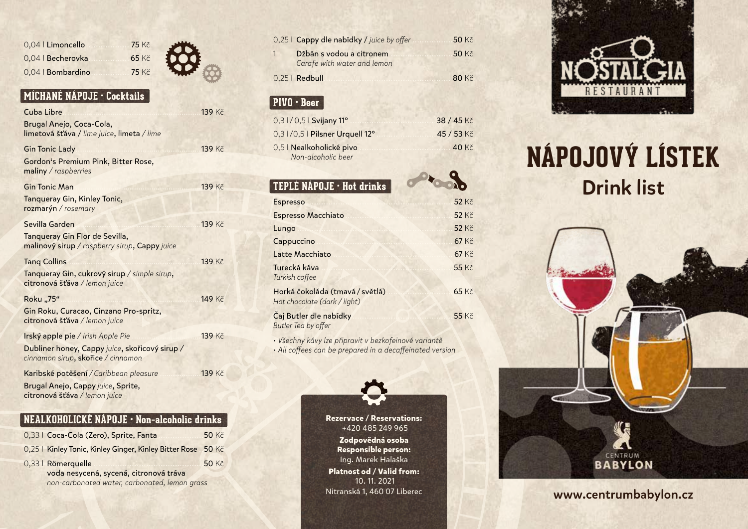| 0.04   Limoncello |
|-------------------|
| 0,04   Becherovka |
| 0.04   Bombardino |

#### **MÍCHANÉ NÁPOJE • Cocktails**

| Cuba Libre                                                                           | <b>139 Kč</b> |
|--------------------------------------------------------------------------------------|---------------|
| Brugal Anejo, Coca-Cola,<br>limetová šťáva / lime juice, limeta / lime               |               |
| <b>Gin Tonic Lady</b>                                                                | <b>139 Kč</b> |
| Gordon's Premium Pink, Bitter Rose,<br>maliny / raspberries                          |               |
| <b>Gin Tonic Man</b>                                                                 | <b>139 Kč</b> |
| Tanqueray Gin, Kinley Tonic,<br>rozmarýn / rosemary                                  |               |
| Sevilla Garden                                                                       | <b>139 Kč</b> |
| Tanqueray Gin Flor de Sevilla,<br>malinový sirup / raspberry sirup, Cappy juice      |               |
| <b>Tang Collins</b>                                                                  | 139 Kč        |
| Tanqueray Gin, cukrový sirup / simple sirup,<br>citronová šťáva / lemon juice        |               |
| Roku "75"                                                                            | <b>149 Kč</b> |
| Gin Roku, Curacao, Cinzano Pro-spritz,<br>citronová šťáva / lemon juice              |               |
|                                                                                      |               |
| Irský apple pie / Irish Apple Pie                                                    | 139 Kč        |
| Dubliner honey, Cappy juice, skořicový sirup /<br>cinnamon sirup, skořice / cinnamon |               |
| Karibské potěšení / Caribbean pleasure                                               | <b>139 Kč</b> |

75 Kč  $65 K\check{c}$ 75 Kč

#### **NEALKOHOLICKÉ NÁPOJE • Non–alcoholic drinks**

|                                               | 0,33   Coca-Cola (Zero), Sprite, Fanta                       | 50 Kč        |
|-----------------------------------------------|--------------------------------------------------------------|--------------|
|                                               | 0,25   Kinley Tonic, Kinley Ginger, Kinley Bitter Rose 50 Kč |              |
|                                               | 0,33   Römerquelle                                           | <b>50 Kč</b> |
|                                               | voda nesycená, sycená, citronová tráva                       |              |
| non-carbonated water, carbonated, lemon grass |                                                              |              |

| 0,25 l <b>Cappy dle nabídky /</b> juice by offer              | 50 Kč        |
|---------------------------------------------------------------|--------------|
| 11<br>Džbán s vodou a citronem<br>Carafe with water and lemon | <b>50 Kč</b> |
| 0,25   Redbull                                                | <b>80 Kč</b> |
|                                                               |              |
| PIVO · Beer                                                   |              |
| 0,3 1/0,5   Svijany 11°                                       | 38 / 45 Kč   |
| 0,3 1/0,5   Pilsner Urquell 12°                               | 45 / 53 Kč   |
| 0,5   Nealkoholické pivo                                      | 40 Kč        |
| Non-alcoholic beer                                            |              |
|                                                               |              |
| TEPLÉ NÁPOJE · Hot drinks                                     |              |
| <b>Espresso</b>                                               | <b>52 Kč</b> |
| <b>Espresso Macchiato</b>                                     | <b>52 Kč</b> |
|                                                               | 52 Kč        |
| Lungo                                                         |              |
|                                                               | 67 Kč        |
| Cappuccino<br>Latte Macchiato                                 | 67 Kč        |
| Turecká káva<br>Turkish coffee                                | <b>55 Kč</b> |
| Horká čokoláda (tmavá/světlá)<br>Hot chocolate (dark / light) | 65 Kč        |

*• Všechny kávy lze připravit v bezkofeinové variantě • All coffees can be prepared in a decaffeinated version*



**Rezervace / Reservations:** +420 485 249 965

**Zodpovědná osoba Responsible person:**  Ing. Marek Halaška **Platnost od / Valid from:** 10. 11. 2021 Nitranská 1, 460 07 Liberec



# **NÁPOJOVÝ LÍSTEK** Drink list



www.centrumbabylon.cz